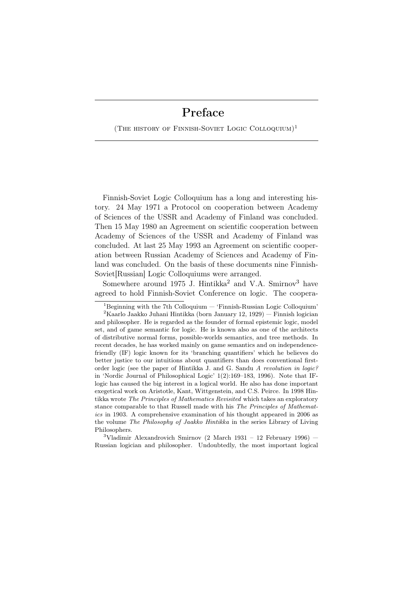(The history of Finnish-Soviet Logic Colloquium)<sup>1</sup>

Finnish-Soviet Logic Colloquium has a long and interesting history. 24 May 1971 a Protocol on cooperation between Academy of Sciences of the USSR and Academy of Finland was concluded. Then 15 May 1980 an Agreement on scientific cooperation between Academy of Sciences of the USSR and Academy of Finland was concluded. At last 25 May 1993 an Agreement on scientific cooperation between Russian Academy of Sciences and Academy of Finland was concluded. On the basis of these documents nine Finnish-Soviet[Russian] Logic Colloquiums were arranged.

Somewhere around 1975 J. Hintikka<sup>2</sup> and V.A. Smirnov<sup>3</sup> have agreed to hold Finnish-Soviet Conference on logic. The coopera-

 $3$ Vladimir Alexandrovich Smirnov (2 March 1931 – 12 February 1996) – Russian logician and philosopher. Undoubtedly, the most important logical

<sup>&</sup>lt;sup>1</sup>Beginning with the 7th Colloquium  $-$  'Finnish-Russian Logic Colloquium'

<sup>&</sup>lt;sup>2</sup>Kaarlo Jaakko Juhani Hintikka (born January 12, 1929) — Finnish logician and philosopher. He is regarded as the founder of formal epistemic logic, model set, and of game semantic for logic. He is known also as one of the architects of distributive normal forms, possible-worlds semantics, and tree methods. In recent decades, he has worked mainly on game semantics and on independencefriendly (IF) logic known for its 'branching quantifiers' which he believes do better justice to our intuitions about quantifiers than does conventional firstorder logic (see the paper of Hintikka J. and G. Sandu *A revolution in logic?* in 'Nordic Journal of Philosophical Logic' 1(2):169–183, 1996). Note that IFlogic has caused the big interest in a logical world. He also has done important exegetical work on Aristotle, Kant, Wittgenstein, and C.S. Peirce. In 1998 Hintikka wrote *The Principles of Mathematics Revisited* which takes an exploratory stance comparable to that Russell made with his *The Principles of Mathematics* in 1903. A comprehensive examination of his thought appeared in 2006 as the volume *The Philosophy of Jaakko Hintikka* in the series Library of Living Philosophers.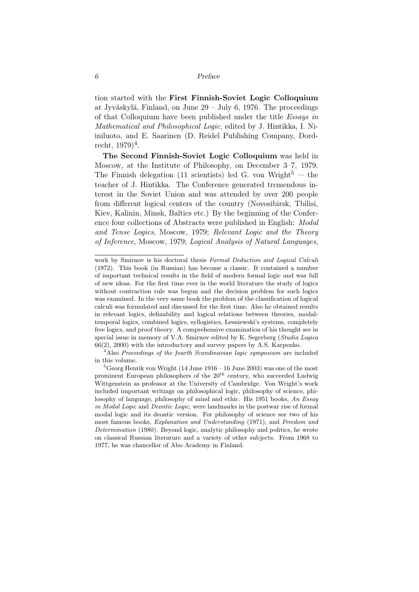tion started with the First Finnish-Soviet Logic Colloquium at Jyväskylä, Finland, on June  $29 -$  July 6, 1976. The proceedings of that Colloquium have been published under the title *Essays in Mathematical and Philosophical Logic*, edited by J. Hintikka, I. Niiniluoto, and E. Saarinen (D. Reidel Publishing Company, Dordrecht,  $1979)^{4}$ .

The Second Finnish-Soviet Logic Colloquium was held in Moscow, at the Institute of Philosophy, on December 3–7, 1979. The Finnish delegation (11 scientists) led G. von Wright<sup>5</sup>  $-$  the teacher of J. Hintikka. The Conference generated tremendous interest in the Soviet Union and was attended by over 200 people from different logical centers of the country (Novosibirsk, Tbilisi, Kiev, Kalinin, Minsk, Baltics etc.) By the beginning of the Conference four collections of Abstracts were published in English: *Modal and Tense Logics*, Moscow, 1979; *Relevant Logic and the Theory of Inference*, Moscow, 1979; *Logical Analysis of Natural Languages*,

work by Smirnov is his doctoral thesis *Formal Deduction and Logical Calculi* (1972). This book (in Russian) has become a classic. It contained a number of important technical results in the field of modern formal logic and was full of new ideas. For the first time ever in the world literature the study of logics without contraction rule was begun and the decision problem for such logics was examined. In the very same book the problem of the classification of logical calculi was formulated and discussed for the first time. Also he obtained results in relevant logics, definability and logical relations between theories, modaltemporal logics, combined logics, syllogistics, Lesniewski's systems, completely free logics, and proof theory. A comprehensive examination of his thought see in special issue in memory of V.A. Smirnov edited by K. Segerberg (*Studia Logica* 66(2), 2000) with the introductory and survey papers by A.S. Karpenko.

<sup>4</sup>Also *Proceedings of the fourth Scandinavian logic symposium* are included in this volume.

 ${}^{5}$ Georg Henrik von Wright (14 June 1916 – 16 June 2003) was one of the most prominent European philosophers of the  $20<sup>th</sup>$  century, who succeeded Ludwig Wittgenstein as professor at the University of Cambridge. Von Wright's work included important writings on philosophical logic, philosophy of science, philosophy of language, philosophy of mind and ethic. His 1951 books, *An Essay in Modal Logic* and *Deontic Logic*, were landmarks in the postwar rise of formal modal logic and its deontic version. For philosophy of science see two of his most famous books, *Explanation and Understanding* (1971), and *Freedom and Determination* (1980). Beyond logic, analytic philosophy and politics, he wrote on classical Russian literature and a variety of other subjects. From 1968 to 1977, he was chancellor of Abo Academy in Finland.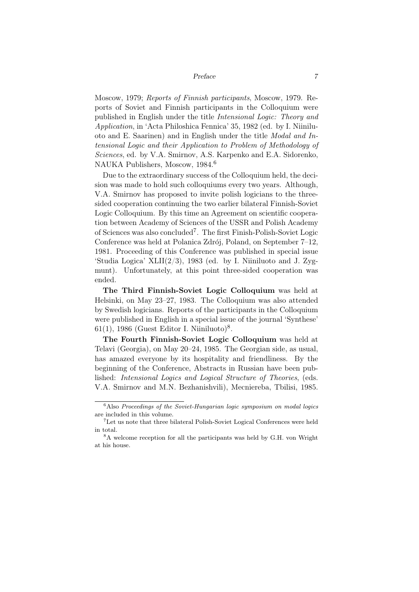Moscow, 1979; *Reports of Finnish participants*, Moscow, 1979. Reports of Soviet and Finnish participants in the Colloquium were published in English under the title *Intensional Logic: Theory and Application*, in 'Acta Philoshica Fennica' 35, 1982 (ed. by I. Niiniluoto and E. Saarinen) and in English under the title *Modal and Intensional Logic and their Application to Problem of Methodology of Sciences*, ed. by V.A. Smirnov, A.S. Karpenko and E.A. Sidorenko, NAUKA Publishers, Moscow, 1984.<sup>6</sup>

Due to the extraordinary success of the Colloquium held, the decision was made to hold such colloquiums every two years. Although, V.A. Smirnov has proposed to invite polish logicians to the threesided cooperation continuing the two earlier bilateral Finnish-Soviet Logic Colloquium. By this time an Agreement on scientific cooperation between Academy of Sciences of the USSR and Polish Academy of Sciences was also concluded<sup>7</sup>. The first Finish-Polish-Soviet Logic Conference was held at Polanica Zdrój, Poland, on September 7-12, 1981. Proceeding of this Conference was published in special issue 'Studia Logica' XLII $(2/3)$ , 1983 (ed. by I. Niiniluoto and J. Zygmunt). Unfortunately, at this point three-sided cooperation was ended.

The Third Finnish-Soviet Logic Colloquium was held at Helsinki, on May 23–27, 1983. The Colloquium was also attended by Swedish logicians. Reports of the participants in the Colloquium were published in English in a special issue of the journal 'Synthese'  $61(1)$ , 1986 (Guest Editor I. Niiniluoto)<sup>8</sup>.

The Fourth Finnish-Soviet Logic Colloquium was held at Telavi (Georgia), on May 20–24, 1985. The Georgian side, as usual, has amazed everyone by its hospitality and friendliness. By the beginning of the Conference, Abstracts in Russian have been published: *Intensional Logics and Logical Structure of Theories*, (eds. V.A. Smirnov and M.N. Bezhanishvili), Mecniereba, Tbilisi, 1985.

<sup>6</sup>Also *Proceedings of the Soviet-Hungarian logic symposium on modal logics* are included in this volume.

<sup>7</sup>Let us note that three bilateral Polish-Soviet Logical Conferences were held in total.

<sup>8</sup>A welcome reception for all the participants was held by G.H. von Wright at his house.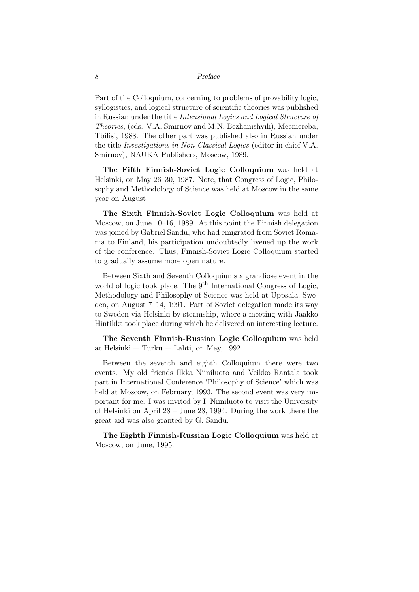Part of the Colloquium, concerning to problems of provability logic, syllogistics, and logical structure of scientific theories was published in Russian under the title *Intensional Logics and Logical Structure of Theories*, (eds. V.A. Smirnov and M.N. Bezhanishvili), Mecniereba, Tbilisi, 1988. The other part was published also in Russian under the title *Investigations in Non-Classical Logics* (editor in chief V.A. Smirnov), NAUKA Publishers, Moscow, 1989.

The Fifth Finnish-Soviet Logic Colloquium was held at Helsinki, on May 26–30, 1987. Note, that Congress of Logic, Philosophy and Methodology of Science was held at Moscow in the same year on August.

The Sixth Finnish-Soviet Logic Colloquium was held at Moscow, on June 10–16, 1989. At this point the Finnish delegation was joined by Gabriel Sandu, who had emigrated from Soviet Romania to Finland, his participation undoubtedly livened up the work of the conference. Thus, Finnish-Soviet Logic Colloquium started to gradually assume more open nature.

Between Sixth and Seventh Colloquiums a grandiose event in the world of logic took place. The  $9<sup>th</sup>$  International Congress of Logic, Methodology and Philosophy of Science was held at Uppsala, Sweden, on August 7–14, 1991. Part of Soviet delegation made its way to Sweden via Helsinki by steamship, where a meeting with Jaakko Hintikka took place during which he delivered an interesting lecture.

The Seventh Finnish-Russian Logic Colloquium was held at Helsinki — Turku — Lahti, on May, 1992.

Between the seventh and eighth Colloquium there were two events. My old friends Ilkka Niiniluoto and Veikko Rantala took part in International Conference 'Philosophy of Science' which was held at Moscow, on February, 1993. The second event was very important for me. I was invited by I. Niiniluoto to visit the University of Helsinki on April 28 – June 28, 1994. During the work there the great aid was also granted by G. Sandu.

The Eighth Finnish-Russian Logic Colloquium was held at Moscow, on June, 1995.